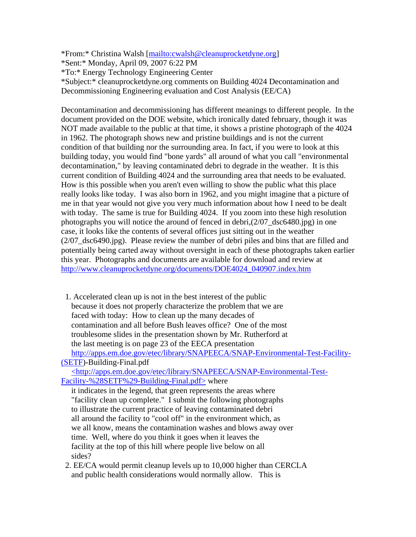\*From:\* Christina Walsh [mailto:cwalsh@cleanuprocketdyne.org]

\*Sent:\* Monday, April 09, 2007 6:22 PM

\*To:\* Energy Technology Engineering Center

\*Subject:\* cleanuprocketdyne.org comments on Building 4024 Decontamination and Decommissioning Engineering evaluation and Cost Analysis (EE/CA)

Decontamination and decommissioning has different meanings to different people. In the document provided on the DOE website, which ironically dated february, though it was NOT made available to the public at that time, it shows a pristine photograph of the 4024 in 1962. The photograph shows new and pristine buildings and is not the current condition of that building nor the surrounding area. In fact, if you were to look at this building today, you would find "bone yards" all around of what you call "environmental decontamination," by leaving contaminated debri to degrade in the weather. It is this current condition of Building 4024 and the surrounding area that needs to be evaluated. How is this possible when you aren't even willing to show the public what this place really looks like today. I was also born in 1962, and you might imagine that a picture of me in that year would not give you very much information about how I need to be dealt with today. The same is true for Building 4024. If you zoom into these high resolution photographs you will notice the around of fenced in debri,(2/07\_dsc6480.jpg) in one case, it looks like the contents of several offices just sitting out in the weather (2/07\_dsc6490.jpg). Please review the number of debri piles and bins that are filled and potentially being carted away without oversight in each of these photographs taken earlier this year. Photographs and documents are available for download and review at http://www.cleanuprocketdyne.org/documents/DOE4024\_040907.index.htm

 1. Accelerated clean up is not in the best interest of the public because it does not properly characterize the problem that we are faced with today: How to clean up the many decades of contamination and all before Bush leaves office? One of the most troublesome slides in the presentation shown by Mr. Rutherford at the last meeting is on page 23 of the EECA presentation http://apps.em.doe.gov/etec/library/SNAPEECA/SNAP-Environmental-Test-Facility- (SETF)-Building-Final.pdf

 <http://apps.em.doe.gov/etec/library/SNAPEECA/SNAP-Environmental-Test-Facility-%28SETF%29-Building-Final.pdf> where

 it indicates in the legend, that green represents the areas where "facility clean up complete." I submit the following photographs to illustrate the current practice of leaving contaminated debri all around the facility to "cool off" in the environment which, as we all know, means the contamination washes and blows away over time. Well, where do you think it goes when it leaves the facility at the top of this hill where people live below on all sides?

 2. EE/CA would permit cleanup levels up to 10,000 higher than CERCLA and public health considerations would normally allow. This is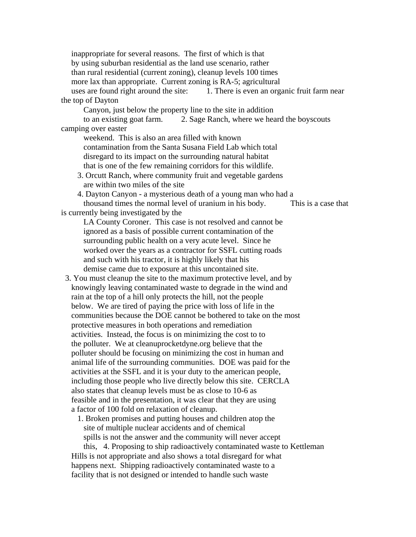inappropriate for several reasons. The first of which is that by using suburban residential as the land use scenario, rather than rural residential (current zoning), cleanup levels 100 times more lax than appropriate. Current zoning is RA-5; agricultural uses are found right around the site: 1. There is even an organic fruit farm near the top of Dayton Canyon, just below the property line to the site in addition to an existing goat farm. 2. Sage Ranch, where we heard the boyscouts camping over easter weekend. This is also an area filled with known contamination from the Santa Susana Field Lab which total disregard to its impact on the surrounding natural habitat that is one of the few remaining corridors for this wildlife. 3. Orcutt Ranch, where community fruit and vegetable gardens are within two miles of the site 4. Dayton Canyon - a mysterious death of a young man who had a thousand times the normal level of uranium in his body. This is a case that is currently being investigated by the LA County Coroner. This case is not resolved and cannot be ignored as a basis of possible current contamination of the surrounding public health on a very acute level. Since he worked over the years as a contractor for SSFL cutting roads and such with his tractor, it is highly likely that his demise came due to exposure at this uncontained site. 3. You must cleanup the site to the maximum protective level, and by knowingly leaving contaminated waste to degrade in the wind and rain at the top of a hill only protects the hill, not the people below. We are tired of paying the price with loss of life in the communities because the DOE cannot be bothered to take on the most protective measures in both operations and remediation activities. Instead, the focus is on minimizing the cost to to the polluter. We at cleanuprocketdyne.org believe that the polluter should be focusing on minimizing the cost in human and animal life of the surrounding communities. DOE was paid for the activities at the SSFL and it is your duty to the american people, including those people who live directly below this site. CERCLA also states that cleanup levels must be as close to 10-6 as feasible and in the presentation, it was clear that they are using a factor of 100 fold on relaxation of cleanup. 1. Broken promises and putting houses and children atop the site of multiple nuclear accidents and of chemical spills is not the answer and the community will never accept this, 4. Proposing to ship radioactively contaminated waste to Kettleman Hills is not appropriate and also shows a total disregard for what happens next. Shipping radioactively contaminated waste to a facility that is not designed or intended to handle such waste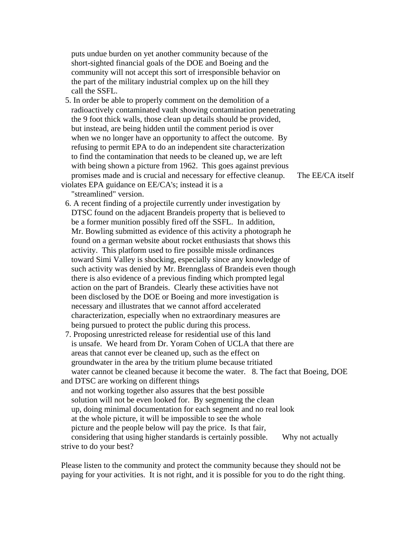puts undue burden on yet another community because of the short-sighted financial goals of the DOE and Boeing and the community will not accept this sort of irresponsible behavior on the part of the military industrial complex up on the hill they call the SSFL.

 5. In order be able to properly comment on the demolition of a radioactively contaminated vault showing contamination penetrating the 9 foot thick walls, those clean up details should be provided, but instead, are being hidden until the comment period is over when we no longer have an opportunity to affect the outcome. By refusing to permit EPA to do an independent site characterization to find the contamination that needs to be cleaned up, we are left with being shown a picture from 1962. This goes against previous promises made and is crucial and necessary for effective cleanup. The EE/CA itself violates EPA guidance on EE/CA's; instead it is a

"streamlined" version.

- 6. A recent finding of a projectile currently under investigation by DTSC found on the adjacent Brandeis property that is believed to be a former munition possibly fired off the SSFL. In addition, Mr. Bowling submitted as evidence of this activity a photograph he found on a german website about rocket enthusiasts that shows this activity. This platform used to fire possible missle ordinances toward Simi Valley is shocking, especially since any knowledge of such activity was denied by Mr. Brennglass of Brandeis even though there is also evidence of a previous finding which prompted legal action on the part of Brandeis. Clearly these activities have not been disclosed by the DOE or Boeing and more investigation is necessary and illustrates that we cannot afford accelerated characterization, especially when no extraordinary measures are being pursued to protect the public during this process.
- 7. Proposing unrestricted release for residential use of this land is unsafe. We heard from Dr. Yoram Cohen of UCLA that there are areas that cannot ever be cleaned up, such as the effect on groundwater in the area by the tritium plume because tritiated water cannot be cleaned because it become the water. 8. The fact that Boeing, DOE and DTSC are working on different things
- and not working together also assures that the best possible solution will not be even looked for. By segmenting the clean up, doing minimal documentation for each segment and no real look at the whole picture, it will be impossible to see the whole picture and the people below will pay the price. Is that fair, considering that using higher standards is certainly possible. Why not actually strive to do your best?

Please listen to the community and protect the community because they should not be paying for your activities. It is not right, and it is possible for you to do the right thing.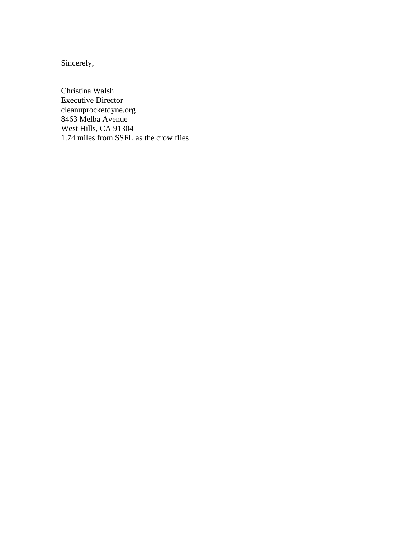Sincerely,

Christina Walsh Executive Director cleanuprocketdyne.org 8463 Melba Avenue West Hills, CA 91304 1.74 miles from SSFL as the crow flies